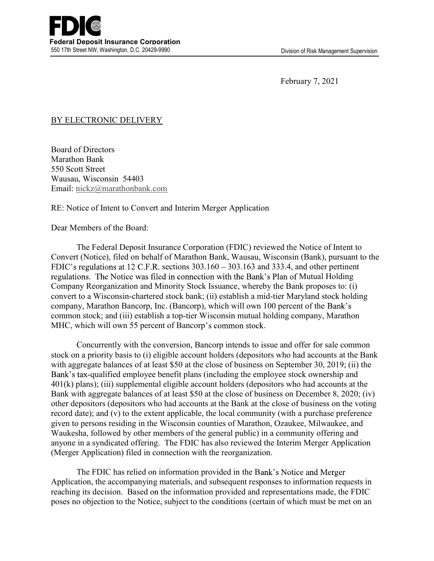February 7, 2021

# BY ELECTRONIC DELIVERY

Board of Directors Marathon Bank 550 Scott Street Wausau, Wisconsin 54403 Email: nickz@marathonbank.com

RE: Notice of Intent to Convert and Interim Merger Application

Dear Members of the Board:

 The Federal Deposit Insurance Corporation (FDIC) reviewed the Notice of Intent to Convert (Notice), filed on behalf of Marathon Bank, Wausau, Wisconsin (Bank), pursuant to the FDIC's regulations at 12 C.F.R. sections  $303.160 - 303.163$  and  $333.4$ , and other pertinent regulations. The Notice was filed in connection with the Bank's Plan of Mutual Holding Company Reorganization and Minority Stock Issuance, whereby the Bank proposes to: (i) convert to a Wisconsin-chartered stock bank; (ii) establish a mid-tier Maryland stock holding company, Marathon Bancorp, Inc. (Bancorp), which will own 100 percent of the common stock; and (iii) establish a top-tier Wisconsin mutual holding company, Marathon MHC, which will own 55 percent of Bancorp's common stock.

 Concurrently with the conversion, Bancorp intends to issue and offer for sale common stock on a priority basis to (i) eligible account holders (depositors who had accounts at the Bank with aggregate balances of at least \$50 at the close of business on September 30, 2019; (ii) the Bank's tax-qualified employee benefit plans (including the employee stock ownership and 401(k) plans); (iii) supplemental eligible account holders (depositors who had accounts at the Bank with aggregate balances of at least \$50 at the close of business on December 8, 2020; (iv) other depositors (depositors who had accounts at the Bank at the close of business on the voting record date); and (v) to the extent applicable, the local community (with a purchase preference given to persons residing in the Wisconsin counties of Marathon, Ozaukee, Milwaukee, and Waukesha, followed by other members of the general public) in a community offering and anyone in a syndicated offering. The FDIC has also reviewed the Interim Merger Application (Merger Application) filed in connection with the reorganization.

The FDIC has relied on information provided in the Bank's Notice and Merger Application, the accompanying materials, and subsequent responses to information requests in reaching its decision. Based on the information provided and representations made, the FDIC poses no objection to the Notice, subject to the conditions (certain of which must be met on an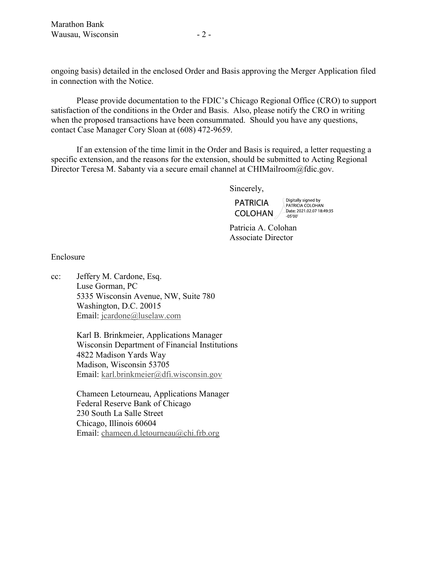ongoing basis) detailed in the enclosed Order and Basis approving the Merger Application filed in connection with the Notice.

Please provide documentation to the FDIC's Chicago Regional Office (CRO) to support satisfaction of the conditions in the Order and Basis. Also, please notify the CRO in writing when the proposed transactions have been consummated. Should you have any questions, contact Case Manager Cory Sloan at (608) 472-9659.

 If an extension of the time limit in the Order and Basis is required, a letter requesting a specific extension, and the reasons for the extension, should be submitted to Acting Regional Director Teresa M. Sabanty via a secure email channel at CHIMailroom@fdic.gov.

Sincerely,

**PATRICIA COLOHAN** 

Digitally signed by PATRICIA COLOHAN Date: 2021.02.07 18:49:35  $-05'00'$ 

 Patricia A. Colohan Associate Director

Enclosure

cc: Jeffery M. Cardone, Esq. Luse Gorman, PC 5335 Wisconsin Avenue, NW, Suite 780 Washington, D.C. 20015 Email: jcardone@luselaw.com

> Karl B. Brinkmeier, Applications Manager Wisconsin Department of Financial Institutions 4822 Madison Yards Way Madison, Wisconsin 53705 Email: karl.brinkmeier@dfi.wisconsin.gov

Chameen Letourneau, Applications Manager Federal Reserve Bank of Chicago 230 South La Salle Street Chicago, Illinois 60604 Email: chameen.d.letourneau@chi.frb.org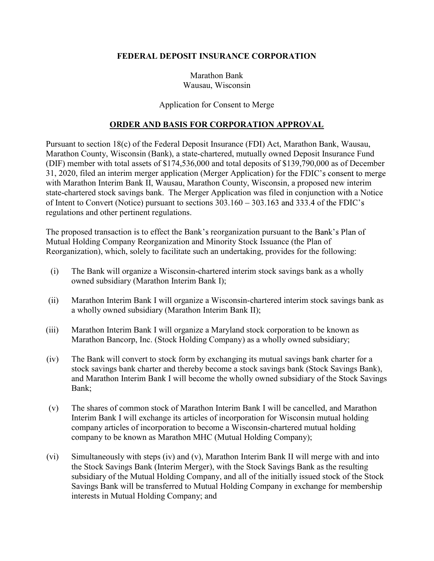## FEDERAL DEPOSIT INSURANCE CORPORATION

Marathon Bank Wausau, Wisconsin

#### Application for Consent to Merge

## ORDER AND BASIS FOR CORPORATION APPROVAL

Pursuant to section 18(c) of the Federal Deposit Insurance (FDI) Act, Marathon Bank, Wausau, Marathon County, Wisconsin (Bank), a state-chartered, mutually owned Deposit Insurance Fund (DIF) member with total assets of \$174,536,000 and total deposits of \$139,790,000 as of December 31, 2020, filed an interim merger application (Merger Application) for the FDIC's consent to merge with Marathon Interim Bank II, Wausau, Marathon County, Wisconsin, a proposed new interim state-chartered stock savings bank. The Merger Application was filed in conjunction with a Notice of Intent to Convert (Notice) pursuant to sections 303.160 – 303.163 and 333.4 of the FDIC's regulations and other pertinent regulations.

The proposed transaction is to effect the Bank's reorganization pursuant to the Bank's Plan of Mutual Holding Company Reorganization and Minority Stock Issuance (the Plan of Reorganization), which, solely to facilitate such an undertaking, provides for the following:

- (i) The Bank will organize a Wisconsin-chartered interim stock savings bank as a wholly owned subsidiary (Marathon Interim Bank I);
- (ii) Marathon Interim Bank I will organize a Wisconsin-chartered interim stock savings bank as a wholly owned subsidiary (Marathon Interim Bank II);
- (iii) Marathon Interim Bank I will organize a Maryland stock corporation to be known as Marathon Bancorp, Inc. (Stock Holding Company) as a wholly owned subsidiary;
- (iv) The Bank will convert to stock form by exchanging its mutual savings bank charter for a stock savings bank charter and thereby become a stock savings bank (Stock Savings Bank), and Marathon Interim Bank I will become the wholly owned subsidiary of the Stock Savings Bank;
- (v) The shares of common stock of Marathon Interim Bank I will be cancelled, and Marathon Interim Bank I will exchange its articles of incorporation for Wisconsin mutual holding company articles of incorporation to become a Wisconsin-chartered mutual holding company to be known as Marathon MHC (Mutual Holding Company);
- (vi) Simultaneously with steps (iv) and (v), Marathon Interim Bank II will merge with and into the Stock Savings Bank (Interim Merger), with the Stock Savings Bank as the resulting subsidiary of the Mutual Holding Company, and all of the initially issued stock of the Stock Savings Bank will be transferred to Mutual Holding Company in exchange for membership interests in Mutual Holding Company; and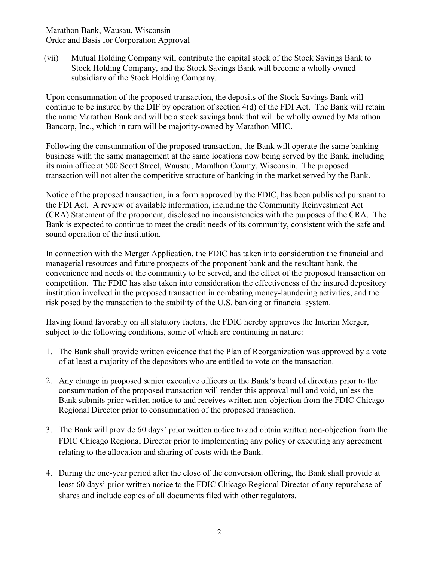## Marathon Bank, Wausau, Wisconsin Order and Basis for Corporation Approval

(vii) Mutual Holding Company will contribute the capital stock of the Stock Savings Bank to Stock Holding Company, and the Stock Savings Bank will become a wholly owned subsidiary of the Stock Holding Company.

Upon consummation of the proposed transaction, the deposits of the Stock Savings Bank will continue to be insured by the DIF by operation of section 4(d) of the FDI Act. The Bank will retain the name Marathon Bank and will be a stock savings bank that will be wholly owned by Marathon Bancorp, Inc., which in turn will be majority-owned by Marathon MHC.

Following the consummation of the proposed transaction, the Bank will operate the same banking business with the same management at the same locations now being served by the Bank, including its main office at 500 Scott Street, Wausau, Marathon County, Wisconsin. The proposed transaction will not alter the competitive structure of banking in the market served by the Bank.

Notice of the proposed transaction, in a form approved by the FDIC, has been published pursuant to the FDI Act. A review of available information, including the Community Reinvestment Act (CRA) Statement of the proponent, disclosed no inconsistencies with the purposes of the CRA. The Bank is expected to continue to meet the credit needs of its community, consistent with the safe and sound operation of the institution.

In connection with the Merger Application, the FDIC has taken into consideration the financial and managerial resources and future prospects of the proponent bank and the resultant bank, the convenience and needs of the community to be served, and the effect of the proposed transaction on competition. The FDIC has also taken into consideration the effectiveness of the insured depository institution involved in the proposed transaction in combating money-laundering activities, and the risk posed by the transaction to the stability of the U.S. banking or financial system.

Having found favorably on all statutory factors, the FDIC hereby approves the Interim Merger, subject to the following conditions, some of which are continuing in nature:

- 1. The Bank shall provide written evidence that the Plan of Reorganization was approved by a vote of at least a majority of the depositors who are entitled to vote on the transaction.
- 2. Any change in proposed senior executive officers or the Bank's board of directors prior to the consummation of the proposed transaction will render this approval null and void, unless the Bank submits prior written notice to and receives written non-objection from the FDIC Chicago Regional Director prior to consummation of the proposed transaction.
- 3. The Bank will provide 60 days' prior written notice to and obtain written non-objection from the FDIC Chicago Regional Director prior to implementing any policy or executing any agreement relating to the allocation and sharing of costs with the Bank.
- 4. During the one-year period after the close of the conversion offering, the Bank shall provide at least 60 days' prior written notice to the FDIC Chicago Regional Director of any repurchase of shares and include copies of all documents filed with other regulators.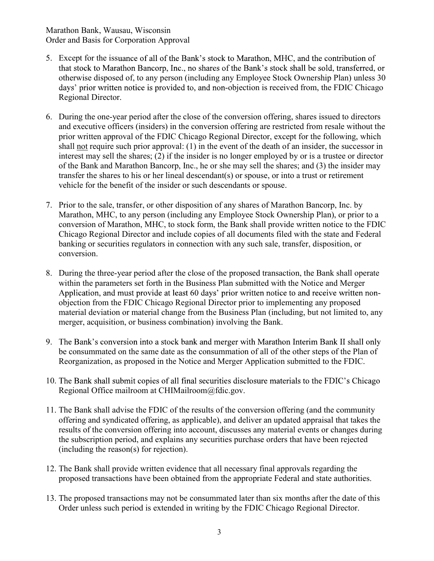# Marathon Bank, Wausau, Wisconsin Order and Basis for Corporation Approval

- 5. Except for the issuance of all of the Bank's stock to Marathon, MHC, and the contribution of that stock to Marathon Bancorp, Inc., no shares of the Bank's stock shall be sold, transferred, or otherwise disposed of, to any person (including any Employee Stock Ownership Plan) unless 30 days' prior written notice is provided to, and non-objection is received from, the FDIC Chicago Regional Director.
- 6. During the one-year period after the close of the conversion offering, shares issued to directors and executive officers (insiders) in the conversion offering are restricted from resale without the prior written approval of the FDIC Chicago Regional Director, except for the following, which shall not require such prior approval: (1) in the event of the death of an insider, the successor in interest may sell the shares; (2) if the insider is no longer employed by or is a trustee or director of the Bank and Marathon Bancorp, Inc., he or she may sell the shares; and (3) the insider may transfer the shares to his or her lineal descendant(s) or spouse, or into a trust or retirement vehicle for the benefit of the insider or such descendants or spouse.
- 7. Prior to the sale, transfer, or other disposition of any shares of Marathon Bancorp, Inc. by Marathon, MHC, to any person (including any Employee Stock Ownership Plan), or prior to a conversion of Marathon, MHC, to stock form, the Bank shall provide written notice to the FDIC Chicago Regional Director and include copies of all documents filed with the state and Federal banking or securities regulators in connection with any such sale, transfer, disposition, or conversion.
- 8. During the three-year period after the close of the proposed transaction, the Bank shall operate within the parameters set forth in the Business Plan submitted with the Notice and Merger Application, and must provide at least 60 days' prior written notice to and receive written nonobjection from the FDIC Chicago Regional Director prior to implementing any proposed material deviation or material change from the Business Plan (including, but not limited to, any merger, acquisition, or business combination) involving the Bank.
- 9. The Bank's conversion into a stock bank and merger with Marathon Interim Bank II shall only be consummated on the same date as the consummation of all of the other steps of the Plan of Reorganization, as proposed in the Notice and Merger Application submitted to the FDIC.
- 10. The Bank shall submit copies of all final securities disclosure materials to the FDIC's Chicago Regional Office mailroom at CHIMailroom@fdic.gov.
- 11. The Bank shall advise the FDIC of the results of the conversion offering (and the community offering and syndicated offering, as applicable), and deliver an updated appraisal that takes the results of the conversion offering into account, discusses any material events or changes during the subscription period, and explains any securities purchase orders that have been rejected (including the reason(s) for rejection).
- 12. The Bank shall provide written evidence that all necessary final approvals regarding the proposed transactions have been obtained from the appropriate Federal and state authorities.
- 13. The proposed transactions may not be consummated later than six months after the date of this Order unless such period is extended in writing by the FDIC Chicago Regional Director.